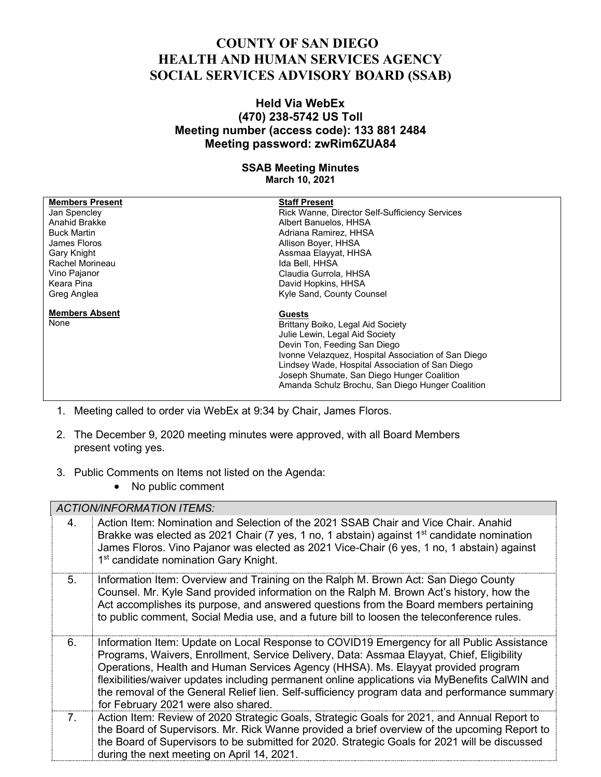## **COUNTY OF SAN DIEGO HEALTH AND HUMAN SERVICES AGENCY SOCIAL SERVICES ADVISORY BOARD (SSAB)**

## **Held Via WebEx (470) 238-5742 US Toll Meeting number (access code): 133 881 2484 Meeting password: zwRim6ZUA84**

## **SSAB Meeting Minutes March 10, 2021**

| <b>Members Present</b>                                          | <b>Staff Present</b>                                |
|-----------------------------------------------------------------|-----------------------------------------------------|
| Jan Spencley                                                    | Rick Wanne, Director Self-Sufficiency Services      |
| Anahid Brakke                                                   | Albert Banuelos, HHSA                               |
| <b>Buck Martin</b>                                              | Adriana Ramirez, HHSA                               |
| James Floros                                                    | Allison Boyer, HHSA                                 |
| Gary Knight                                                     | Assmaa Elayyat, HHSA                                |
| Rachel Morineau                                                 | Ida Bell, HHSA                                      |
| Vino Pajanor                                                    | Claudia Gurrola, HHSA                               |
| Keara Pina                                                      | David Hopkins, HHSA                                 |
| Greg Anglea                                                     | Kyle Sand, County Counsel                           |
| <b>Members Absent</b>                                           | <b>Guests</b>                                       |
| None                                                            | Brittany Boiko, Legal Aid Society                   |
|                                                                 | Julie Lewin, Legal Aid Society                      |
|                                                                 | Devin Ton, Feeding San Diego                        |
|                                                                 | Ivonne Velazquez, Hospital Association of San Diego |
|                                                                 | Lindsey Wade, Hospital Association of San Diego     |
|                                                                 | Joseph Shumate, San Diego Hunger Coalition          |
|                                                                 | Amanda Schulz Brochu, San Diego Hunger Coalition    |
|                                                                 |                                                     |
| Meeting called to order via WebEx at 0:34 by Chair James Floros |                                                     |

- 1. Meeting called to order via WebEx at 9:34 by Chair, James Floros.
- 2. The December 9, 2020 meeting minutes were approved, with all Board Members present voting yes.
- 3. Public Comments on Items not listed on the Agenda:
	- No public comment

*ACTION/INFORMATION ITEMS:*

|                                  | ACTION/INFORMATION ITEMS.                                                                                                                                                                                                                                                                                                                                                                                                                                                                                             |  |
|----------------------------------|-----------------------------------------------------------------------------------------------------------------------------------------------------------------------------------------------------------------------------------------------------------------------------------------------------------------------------------------------------------------------------------------------------------------------------------------------------------------------------------------------------------------------|--|
| 4.                               | Action Item: Nomination and Selection of the 2021 SSAB Chair and Vice Chair. Anahid<br>Brakke was elected as 2021 Chair (7 yes, 1 no, 1 abstain) against 1 <sup>st</sup> candidate nomination<br>James Floros. Vino Pajanor was elected as 2021 Vice-Chair (6 yes, 1 no, 1 abstain) against<br>1 <sup>st</sup> candidate nomination Gary Knight.                                                                                                                                                                      |  |
| 5.                               | Information Item: Overview and Training on the Ralph M. Brown Act: San Diego County<br>Counsel. Mr. Kyle Sand provided information on the Ralph M. Brown Act's history, how the<br>Act accomplishes its purpose, and answered questions from the Board members pertaining<br>to public comment, Social Media use, and a future bill to loosen the teleconference rules.                                                                                                                                               |  |
| 6.                               | Information Item: Update on Local Response to COVID19 Emergency for all Public Assistance<br>Programs, Waivers, Enrollment, Service Delivery, Data: Assmaa Elayyat, Chief, Eligibility<br>Operations, Health and Human Services Agency (HHSA). Ms. Elayyat provided program<br>flexibilities/waiver updates including permanent online applications via MyBenefits CalWIN and<br>the removal of the General Relief lien. Self-sufficiency program data and performance summary<br>for February 2021 were also shared. |  |
| $7_{\scriptscriptstyle{\ddots}}$ | Action Item: Review of 2020 Strategic Goals, Strategic Goals for 2021, and Annual Report to<br>the Board of Supervisors. Mr. Rick Wanne provided a brief overview of the upcoming Report to<br>the Board of Supervisors to be submitted for 2020. Strategic Goals for 2021 will be discussed<br>during the next meeting on April 14, 2021.                                                                                                                                                                            |  |